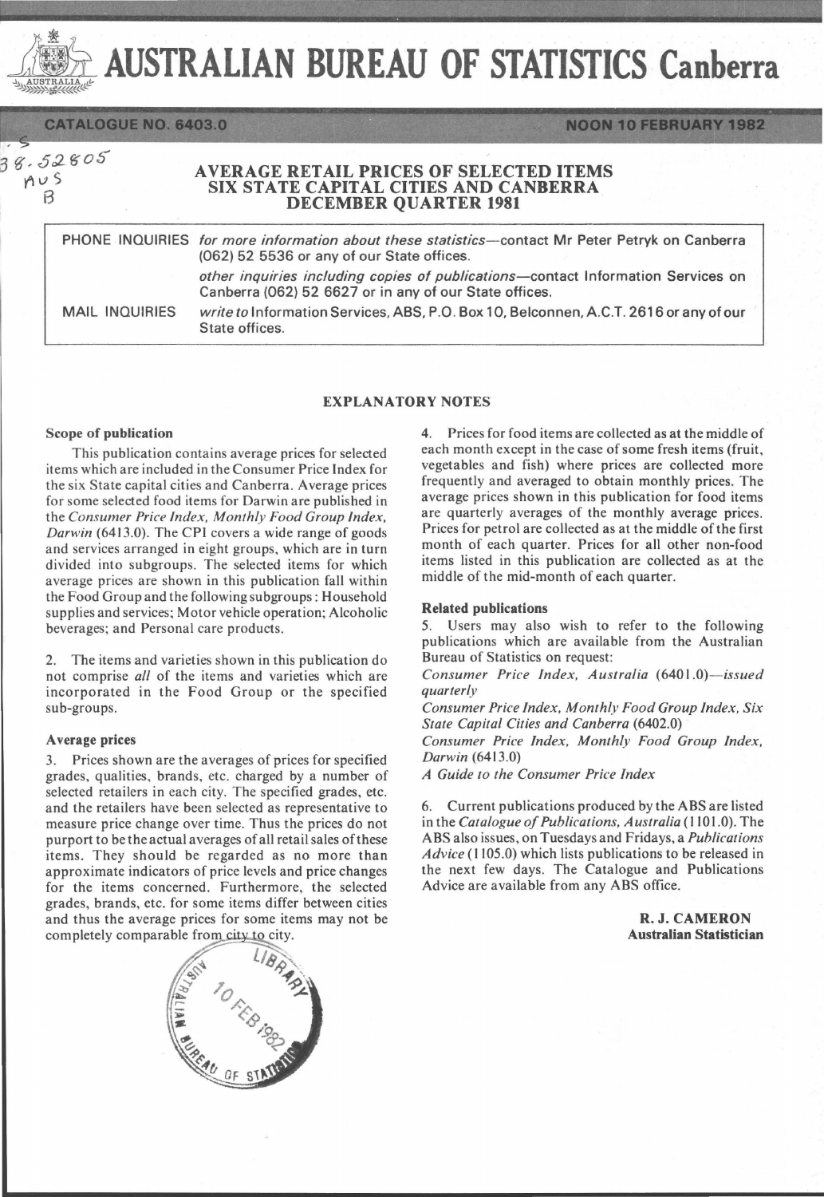AUSTRALIAN BUREAU OF STATISTICS Canberra AUSTRALIA

**CATALOGUE NO. 6403.0** 

8.52805

 $A$ USTRALIA

# AVERAGE RETAIL PRICES OF SELECTED ITEMS<br>SIX STATE CAPITAL CITIES AND CANBERRA SIX STATE CAPITAL CITIES AND CANBERRA<br>DECEMBER QUARTER 1981

PHONE INQUIRIES *for more information about these statistics-contact* Mr Peter Petryk on Canberra (062) 52 5536 or any of our State offices. *other inquiries including copies of publications-contact* Information Services on Canberra (062) 52 6627 or in any of our State offices. MAIL INQUIRIES *write to* Information Services, ABS, P.O. Box 10, Belconnen, A.C.T. 2616 or any of our

## EXPLANATORY NOTES

### Scope of publication

This publication contains average prices for selected items which are included in the Consumer Price Index for the six State capital cities and Canberra. Average prices for some selected food items for Darwin are published in the *Consumer Price Index, Monthly Food Group Index, Darwin* (6413.0). The CPI covers a wide range of goods and services arranged in eight groups, which are in turn divided into subgroups. The selected items for which average prices are shown in this publication fall within the Food Group and the following subgroups: Household supplies and services; Motor vehicle operation; Alcoholic beverages; and Personal care products.

State offices.

2. The items and varieties shown in this publication do not comprise *all* of the items and varieties which are incorporated in the Food Group or the specified sub-groups.

### A verage prices

3. Prices shown are the averages of prices for specified grades, qualities, brands, etc. charged by a number of selected retailers in each city. The specified grades, etc. and the retailers have been selected as representative to measure price change over time. Thus the prices do not purport to be the actual averages of all retail sales of these items. They should be regarded as no more than approximate indicators of price levels and price changes for the items concerned. Furthermore, the selected grades, brands, etc. for some items differ between cities and thus the average prices for some items may not be completely comparable from city to city.



4. Prices for food items are collected as at the middle of each month except in the case of some fresh items (fruit, vegetables and fish) where prices are collected more frequently and averaged to obtain monthly prices. The average prices shown in this publication for food items are quarterly averages of the monthly average prices. Prices for petrol are collected as at the middle of the first month of each quarter. Prices for all other non-food items listed in this publication are collected as at the middle of the mid-month of each quarter.

**NOON 10 FEBRUARY 1982** 

### Related publications

5. Users may also wish to refer to the following publications which are available from the Australian Bureau of Statistics on request:

*Consumer Price Index, Australia (6401.0)-issued quarterly* 

*Consumer Price Index, Monthly Food Group Index, Six State Capital Cities and Canberra (6402.0)* 

*Consumer Price Index, Monthly Food Group Index, Darwin (6413.0)* 

*A Guide to the Consumer Price Index* 

6. Current publications produced by the ABS are listed in the *Catalogue of Publications. Australia* (1101.0). The ABS also issues, on Tuesdays and Fridays, a *Publications Advice* (1105.0) which lists publications to be released in the next few days. The Catalogue and Publications Advice are available from any ABS office.

> R. J. CAMERON Australian Statistician